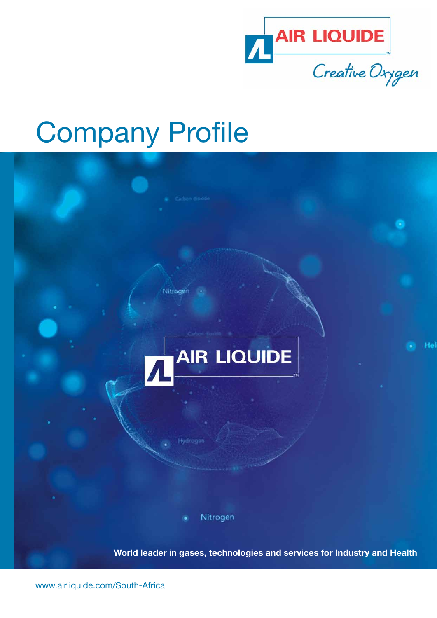

# Company Profile



Nitrogen

Nitrogen

World leader in gases, technologies and services for Industry and Health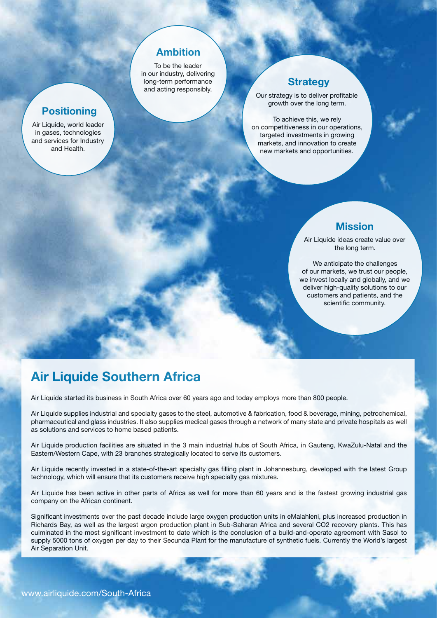## Ambition

To be the leader in our industry, delivering long-term performance long-term performance and acting responsibly.

Our strategy is to deliver profitable growth over the long term.

To achieve this, we rely on competitiveness in our operations, targeted investments in growing markets, and innovation to create new markets and opportunities.

## **Mission**

Air Liquide ideas create value over the long term.

We anticipate the challenges of our markets, we trust our people, we invest locally and globally, and we deliver high-quality solutions to our customers and patients, and the scientific community.

## Air Liquide Southern Africa

**Positioning** Air Liquide, world leader in gases, technologies and services for Industry and Health.

Air Liquide started its business in South Africa over 60 years ago and today employs more than 800 people.

Air Liquide supplies industrial and specialty gases to the steel, automotive & fabrication, food & beverage, mining, petrochemical, pharmaceutical and glass industries. It also supplies medical gases through a network of many state and private hospitals as well as solutions and services to home based patients.

Air Liquide production facilities are situated in the 3 main industrial hubs of South Africa, in Gauteng, KwaZulu-Natal and the Eastern/Western Cape, with 23 branches strategically located to serve its customers.

Air Liquide recently invested in a state-of-the-art specialty gas filling plant in Johannesburg, developed with the latest Group technology, which will ensure that its customers receive high specialty gas mixtures.

Air Liquide has been active in other parts of Africa as well for more than 60 years and is the fastest growing industrial gas company on the African continent.

Significant investments over the past decade include large oxygen production units in eMalahleni, plus increased production in Richards Bay, as well as the largest argon production plant in Sub-Saharan Africa and several CO2 recovery plants. This has culminated in the most significant investment to date which is the conclusion of a build-and-operate agreement with Sasol to supply 5000 tons of oxygen per day to their Secunda Plant for the manufacture of synthetic fuels. Currently the World's largest Air Separation Unit.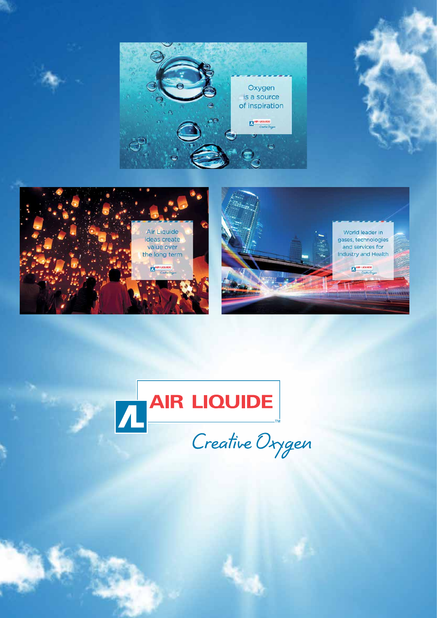

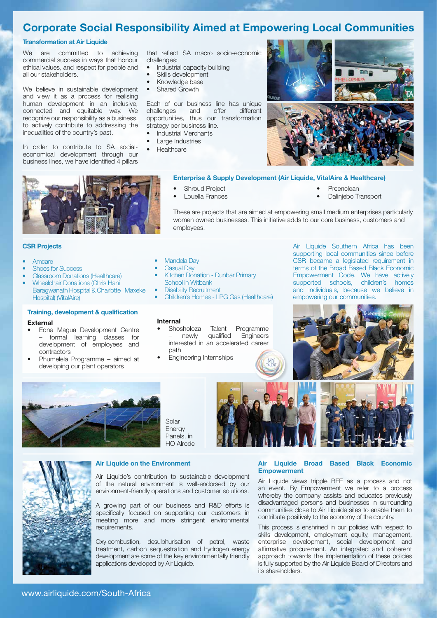## Corporate Social Responsibility Aimed at Empowering Local Communities

#### Transformation at Air Liquide

We are committed to achieving commercial success in ways that honour ethical values, and respect for people and all our stakeholders.

We believe in sustainable development and view it as a process for realising human development in an inclusive, connected and equitable way. We recognize our responsibility as a business, to actively contribute to addressing the inequalities of the country's past.

In order to contribute to SA socialeconomical development through our business lines, we have identified 4 pillars that reflect SA macro socio-economic challenges:

- Industrial capacity building
- • Skills development
- Knowledge base
- • Shared Growth

Each of our business line has unique challenges and offer different opportunities, thus our transformation strategy per business line.

- **Industrial Merchants**
- **Large Industries**
- • Healthcare



#### Enterprise & Supply Development (Air Liquide, VitalAire & Healthcare)

- Shroud Project **•** Preenclean
- 
- 
- Louella Frances<br>
Dalinjebo Transport

These are projects that are aimed at empowering small medium enterprises particularly women owned businesses. This initiative adds to our core business, customers and employees.



#### CSR Projects

- **Amcare**
- Shoes for Success
- **Classroom Donations (Healthcare)**
- **Wheelchair Donations (Chris Hani**  Baragwanath Hospital & Charlotte Maxeke Hospital) (VitalAire)

#### Training, development & qualification

#### External

- Edna Magua Development Centre formal learning classes for development of employees and contractors
- Phumelela Programme aimed at developing our plant operators
- Mandela Day
- **Casual Day**
- **Kitchen Donation Dunbar Primary**  School in Witbank
- Disability Recruitment
- Children's Homes LPG Gas (Healthcare)

#### Internal

- Shosholoza Talent Programme<br>- newly qualified Engineers – newly qualified Engineers interested in an accelerated career path
- **Engineering Internships**

Air Liquide Southern Africa has been supporting local communities since before CSR became a legislated requirement in terms of the Broad Based Black Economic Empowerment Code. We have actively supported schools, children's homes and individuals, because we believe in empowering our communities.





Solar Energy Panels, in HO Alrode





#### Air Liquide on the Environment

Air Liquide's contribution to sustainable development of the natural environment is well-endorsed by our environment-friendly operations and customer solutions.

A growing part of our business and R&D efforts is specifically focused on supporting our customers in meeting more and more stringent environmental requirements.

Oxy-combustion, desulphurisation of petrol, waste treatment, carbon sequestration and hydrogen energy development are some of the key environmentally friendly applications developed by Air Liquide.

#### Air Liquide Broad Based Black Economic Empowerment

Air Liquide views tripple BEE as a process and not an event. By Empowerment we refer to a process whereby the company assists and educates previously disadvantaged persons and businesses in surrounding communities close to Air Liquide sites to enable them to contribute positively to the economy of the country.

This process is enshrined in our policies with respect to skills development, employment equity, management, enterprise development, social development and affirmative procurement. An integrated and coherent approach towards the implementation of these policies is fully supported by the Air Liquide Board of Directors and its shareholders.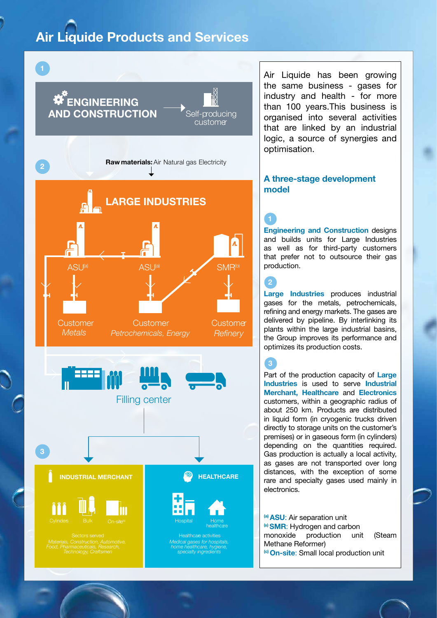## Air Liquide Products and Services

ASU<sup>(a)</sup> ASU<sup>(a)</sup> SMR<sup>(b)</sup> Customer Customer *Metals Petrochemicals, Energy Refinery* **Customer LARGE INDUSTRIES** 2 Sectors served **Healthcare** activities *Medical gases for hospitals, home healthcare, hygiene, specialty ingredients* Home Cylinders Bulk On-site<sup>®</sup> (Cylinders Home) Hospital Home<br>healthcare **INDUSTRIAL MERCHANT HEALTHCARE** Self-producing customer **WENGINEERING AND CONSTRUCTION** Filling center **Raw materials:** Air Natural gas Electricity

Air Liquide has been growing the same business - gases for industry and health - for more than 100 years.This business is organised into several activities that are linked by an industrial logic, a source of synergies and optimisation.

### A three-stage development model

Engineering and Construction designs and builds units for Large Industries as well as for third-party customers that prefer not to outsource their gas production.

Large Industries produces industrial gases for the metals, petrochemicals, refining and energy markets. The gases are delivered by pipeline. By interlinking its plants within the large industrial basins, the Group improves its performance and optimizes its production costs.

## 3

2

Part of the production capacity of Large Industries is used to serve Industrial Merchant, Healthcare and Electronics customers, within a geographic radius of about 250 km. Products are distributed in liquid form (in cryogenic trucks driven directly to storage units on the customer's premises) or in gaseous form (in cylinders) depending on the quantities required. Gas production is actually a local activity, as gases are not transported over long distances, with the exception of some rare and specialty gases used mainly in electronics.

(a) **ASU**: Air separation unit (b) SMR: Hydrogen and carbon monoxide production unit (Steam Methane Reformer) (c) On-site: Small local production unit